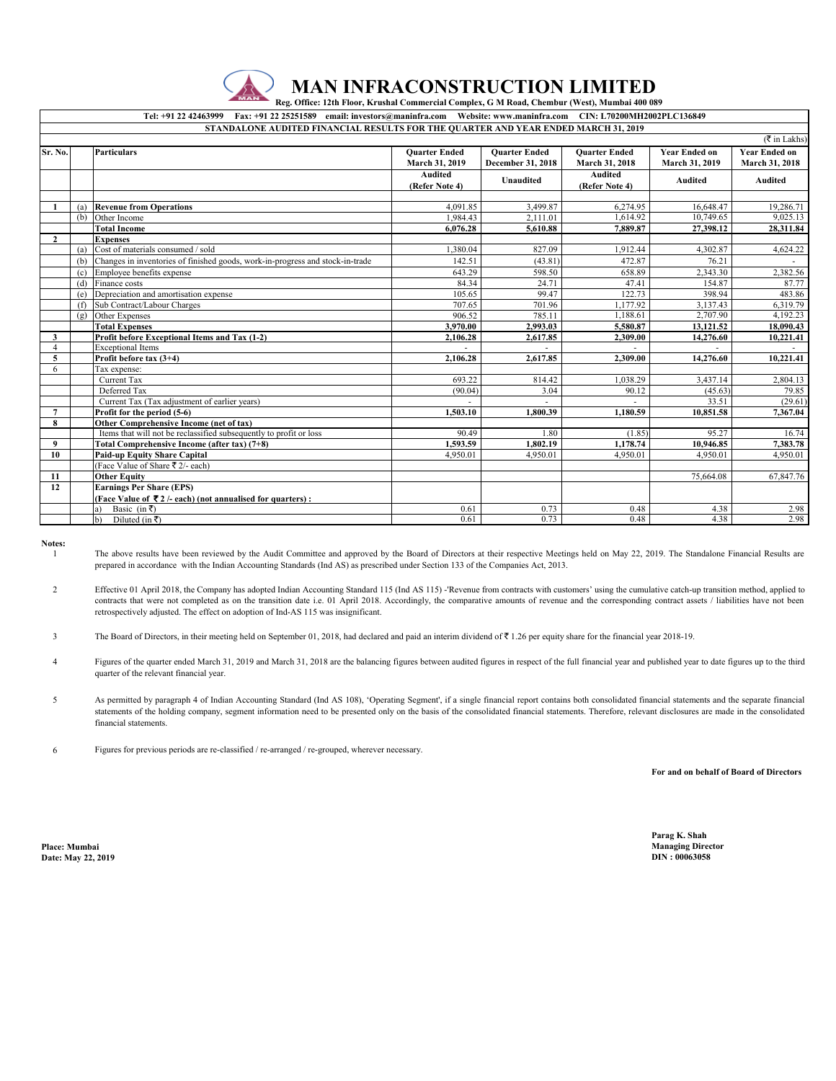

## **MAN INFRACONSTRUCTION LIMITED**

 **Reg. Office: 12th Floor, Krushal Commercial Complex, G M Road, Chembur (West), Mumbai 400 089** 

## **Tel: +91 22 42463999 Fax: +91 22 25251589 email: investors@maninfra.com Website: www.maninfra.com CIN: L70200MH2002PLC136849**

| STANDALONE AUDITED FINANCIAL RESULTS FOR THE QUARTER AND YEAR ENDED MARCH 31, 2019 |     |                                                                               |                                  |                      |                                  |                      |                              |  |
|------------------------------------------------------------------------------------|-----|-------------------------------------------------------------------------------|----------------------------------|----------------------|----------------------------------|----------------------|------------------------------|--|
|                                                                                    |     |                                                                               |                                  |                      |                                  |                      | $(\overline{\tau}$ in Lakhs) |  |
| Sr. No.                                                                            |     | <b>Particulars</b>                                                            | <b>Ouarter Ended</b>             | <b>Ouarter Ended</b> | <b>Ouarter Ended</b>             | <b>Year Ended on</b> | <b>Year Ended on</b>         |  |
|                                                                                    |     |                                                                               | March 31, 2019                   | December 31, 2018    | March 31, 2018                   | March 31, 2019       | March 31, 2018               |  |
|                                                                                    |     |                                                                               | <b>Audited</b><br>(Refer Note 4) | Unaudited            | <b>Audited</b><br>(Refer Note 4) | <b>Audited</b>       | Audited                      |  |
|                                                                                    |     |                                                                               |                                  |                      |                                  |                      |                              |  |
|                                                                                    |     | (a) Revenue from Operations                                                   | 4.091.85                         | 3,499.87             | 6,274.95                         | 16,648.47            | 19,286.71                    |  |
|                                                                                    | (b) | Other Income                                                                  | 1,984.43                         | 2,111.01             | 1,614.92                         | 10,749.65            | 9,025.13                     |  |
|                                                                                    |     | <b>Total Income</b>                                                           | 6.076.28                         | 5.610.88             | 7,889.87                         | 27.398.12            | 28,311.84                    |  |
| $\overline{2}$                                                                     |     | <b>Expenses</b>                                                               |                                  |                      |                                  |                      |                              |  |
|                                                                                    | (a) | Cost of materials consumed / sold                                             | 1.380.04                         | 827.09               | 1.912.44                         | 4.302.87             | 4,624.22                     |  |
|                                                                                    | (b) | Changes in inventories of finished goods, work-in-progress and stock-in-trade | 142.51                           | (43.81)              | 472.87                           | 76.21                |                              |  |
|                                                                                    |     | (c) Employee benefits expense                                                 | 643.29                           | 598.50               | 658.89                           | 2,343.30             | 2,382.56                     |  |
|                                                                                    |     | (d) Finance costs                                                             | 84.34                            | 24.71                | 47.41                            | 154.87               | 87.77                        |  |
|                                                                                    | (e) | Depreciation and amortisation expense                                         | 105.65                           | 99.47                | 122.73                           | 398.94               | 483.86                       |  |
|                                                                                    |     | (f) Sub Contract/Labour Charges                                               | 707.65                           | 701.96               | 1.177.92                         | 3.137.43             | 6.319.79                     |  |
|                                                                                    | (g) | Other Expenses                                                                | 906.52                           | 785.11               | 1,188.61                         | 2,707.90             | 4,192.23                     |  |
|                                                                                    |     | <b>Total Expenses</b>                                                         | 3,970.00                         | 2.993.03             | 5,580.87                         | 13,121.52            | 18,090.43                    |  |
| 3                                                                                  |     | Profit before Exceptional Items and Tax (1-2)                                 | 2.106.28                         | 2,617.85             | 2.309.00                         | 14,276.60            | 10,221.41                    |  |
| $\overline{4}$                                                                     |     | <b>Exceptional Items</b>                                                      |                                  |                      |                                  |                      |                              |  |
| 5                                                                                  |     | Profit before tax (3+4)                                                       | 2.106.28                         | 2.617.85             | 2.309.00                         | 14,276.60            | 10,221.41                    |  |
| 6                                                                                  |     | Tax expense:                                                                  |                                  |                      |                                  |                      |                              |  |
|                                                                                    |     | <b>Current Tax</b>                                                            | 693.22                           | 814.42               | 1.038.29                         | 3.437.14             | 2,804.13                     |  |
|                                                                                    |     | Deferred Tax                                                                  | (90.04)                          | 3.04                 | 90.12                            | (45.63)              | 79.85                        |  |
|                                                                                    |     | Current Tax (Tax adjustment of earlier years)                                 |                                  |                      |                                  | 33.51                | (29.61)                      |  |
| $\overline{7}$                                                                     |     | Profit for the period (5-6)                                                   | 1.503.10                         | 1.800.39             | 1.180.59                         | 10,851.58            | 7,367.04                     |  |
| 8                                                                                  |     | Other Comprehensive Income (net of tax)                                       |                                  |                      |                                  |                      |                              |  |
|                                                                                    |     | Items that will not be reclassified subsequently to profit or loss            | 90.49                            | 1.80                 | (1.85)                           | 95.27                | 16.74                        |  |
| 9                                                                                  |     | Total Comprehensive Income (after tax) (7+8)                                  | 1,593.59                         | 1.802.19             | 1,178.74                         | 10,946.85            | 7,383.78                     |  |
| 10                                                                                 |     | <b>Paid-up Equity Share Capital</b>                                           | 4.950.01                         | 4.950.01             | 4.950.01                         | 4.950.01             | 4.950.01                     |  |
|                                                                                    |     | (Face Value of Share ₹ 2/- each)                                              |                                  |                      |                                  |                      |                              |  |
| 11                                                                                 |     | <b>Other Equity</b>                                                           |                                  |                      |                                  | 75.664.08            | 67,847.76                    |  |
| 12                                                                                 |     | <b>Earnings Per Share (EPS)</b>                                               |                                  |                      |                                  |                      |                              |  |
|                                                                                    |     | (Face Value of ₹2/- each) (not annualised for quarters):                      |                                  |                      |                                  |                      |                              |  |
|                                                                                    |     | Basic (in ₹)<br>a)                                                            | 0.61                             | 0.73                 | 0.48                             | 4.38                 | 2.98                         |  |
|                                                                                    |     | Diluted (in ₹)<br>h)                                                          | 0.61                             | 0.73                 | 0.48                             | 4.38                 | 2.98                         |  |

**Notes:** 1

The above results have been reviewed by the Audit Committee and approved by the Board of Directors at their respective Meetings held on May 22, 2019. The Standalone Financial Results are prepared in accordance with the Indian Accounting Standards (Ind AS) as prescribed under Section 133 of the Companies Act, 2013.

2 Effective 01 April 2018, the Company has adopted Indian Accounting Standard 115 (Ind AS 115) -'Revenue from contracts with customers' using the cumulative catch-up transition method, applied to contracts that were not completed as on the transition date i.e. 01 April 2018. Accordingly, the comparative amounts of revenue and the corresponding contract assets / liabilities have not been retrospectively adjusted. The effect on adoption of Ind-AS 115 was insignificant.

3 The Board of Directors, in their meeting held on September 01, 2018, had declared and paid an interim dividend of ₹ 1.26 per equity share for the financial year 2018-19.

- 4 Figures of the quarter ended March 31, 2019 and March 31, 2018 are the balancing figures between audited figures in respect of the full financial year and published year to date figures up to the third quarter of the relevant financial year.
- 5 As permitted by paragraph 4 of Indian Accounting Standard (Ind AS 108), 'Operating Segment', if a single financial report contains both consolidated financial statements and the separate financial statements of the holding company, segment information need to be presented only on the basis of the consolidated financial statements. Therefore, relevant disclosures are made in the consolidated financial statements.

6 Figures for previous periods are re-classified / re-arranged / re-grouped, wherever necessary.

**For and on behalf of Board of Directors**

**Place: Mumbai Managing Director Date: May 22, 2019** 

**Parag K. Shah**